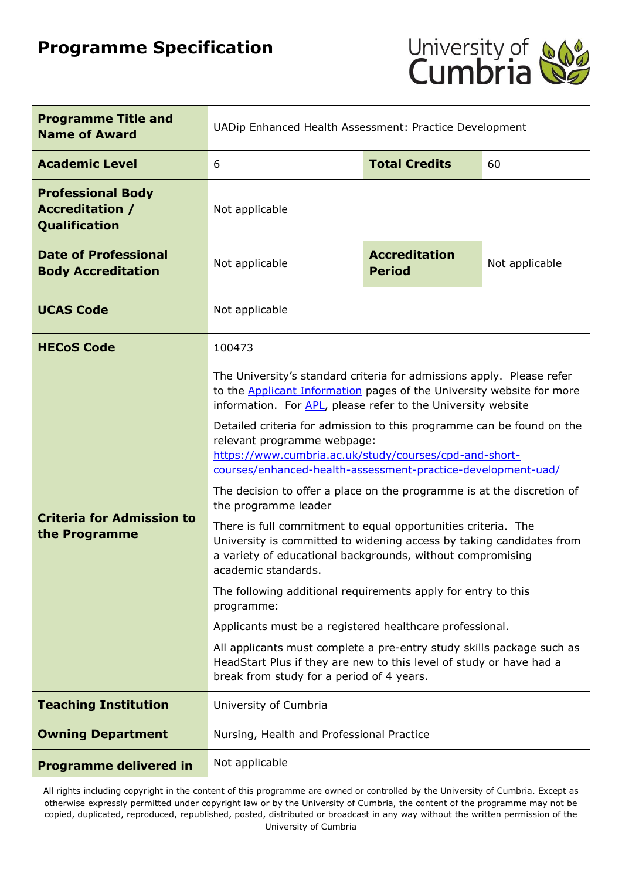# **Programme Specification**



| <b>Programme Title and</b><br><b>Name of Award</b>                  | UADip Enhanced Health Assessment: Practice Development                                                                                                                                                                                                                                                                                                                                                                                                                                                                                                                                                                                                                                                                                                                                                                                                                                                                                                                                                      |                                       |                |  |
|---------------------------------------------------------------------|-------------------------------------------------------------------------------------------------------------------------------------------------------------------------------------------------------------------------------------------------------------------------------------------------------------------------------------------------------------------------------------------------------------------------------------------------------------------------------------------------------------------------------------------------------------------------------------------------------------------------------------------------------------------------------------------------------------------------------------------------------------------------------------------------------------------------------------------------------------------------------------------------------------------------------------------------------------------------------------------------------------|---------------------------------------|----------------|--|
| <b>Academic Level</b>                                               | <b>Total Credits</b><br>60<br>6                                                                                                                                                                                                                                                                                                                                                                                                                                                                                                                                                                                                                                                                                                                                                                                                                                                                                                                                                                             |                                       |                |  |
| <b>Professional Body</b><br><b>Accreditation /</b><br>Qualification | Not applicable                                                                                                                                                                                                                                                                                                                                                                                                                                                                                                                                                                                                                                                                                                                                                                                                                                                                                                                                                                                              |                                       |                |  |
| <b>Date of Professional</b><br><b>Body Accreditation</b>            | Not applicable                                                                                                                                                                                                                                                                                                                                                                                                                                                                                                                                                                                                                                                                                                                                                                                                                                                                                                                                                                                              | <b>Accreditation</b><br><b>Period</b> | Not applicable |  |
| <b>UCAS Code</b>                                                    | Not applicable                                                                                                                                                                                                                                                                                                                                                                                                                                                                                                                                                                                                                                                                                                                                                                                                                                                                                                                                                                                              |                                       |                |  |
| <b>HECoS Code</b>                                                   | 100473                                                                                                                                                                                                                                                                                                                                                                                                                                                                                                                                                                                                                                                                                                                                                                                                                                                                                                                                                                                                      |                                       |                |  |
| <b>Criteria for Admission to</b><br>the Programme                   | The University's standard criteria for admissions apply. Please refer<br>to the <b>Applicant Information</b> pages of the University website for more<br>information. For APL, please refer to the University website<br>Detailed criteria for admission to this programme can be found on the<br>relevant programme webpage:<br>https://www.cumbria.ac.uk/study/courses/cpd-and-short-<br>courses/enhanced-health-assessment-practice-development-uad/<br>The decision to offer a place on the programme is at the discretion of<br>the programme leader<br>There is full commitment to equal opportunities criteria. The<br>University is committed to widening access by taking candidates from<br>a variety of educational backgrounds, without compromising<br>academic standards.<br>The following additional requirements apply for entry to this<br>programme:<br>Applicants must be a registered healthcare professional.<br>All applicants must complete a pre-entry study skills package such as |                                       |                |  |
| <b>Teaching Institution</b>                                         | HeadStart Plus if they are new to this level of study or have had a<br>break from study for a period of 4 years.                                                                                                                                                                                                                                                                                                                                                                                                                                                                                                                                                                                                                                                                                                                                                                                                                                                                                            |                                       |                |  |
|                                                                     | University of Cumbria                                                                                                                                                                                                                                                                                                                                                                                                                                                                                                                                                                                                                                                                                                                                                                                                                                                                                                                                                                                       |                                       |                |  |
| <b>Owning Department</b>                                            | Nursing, Health and Professional Practice                                                                                                                                                                                                                                                                                                                                                                                                                                                                                                                                                                                                                                                                                                                                                                                                                                                                                                                                                                   |                                       |                |  |
| <b>Programme delivered in</b>                                       | Not applicable                                                                                                                                                                                                                                                                                                                                                                                                                                                                                                                                                                                                                                                                                                                                                                                                                                                                                                                                                                                              |                                       |                |  |

All rights including copyright in the content of this programme are owned or controlled by the University of Cumbria. Except as otherwise expressly permitted under copyright law or by the University of Cumbria, the content of the programme may not be copied, duplicated, reproduced, republished, posted, distributed or broadcast in any way without the written permission of the University of Cumbria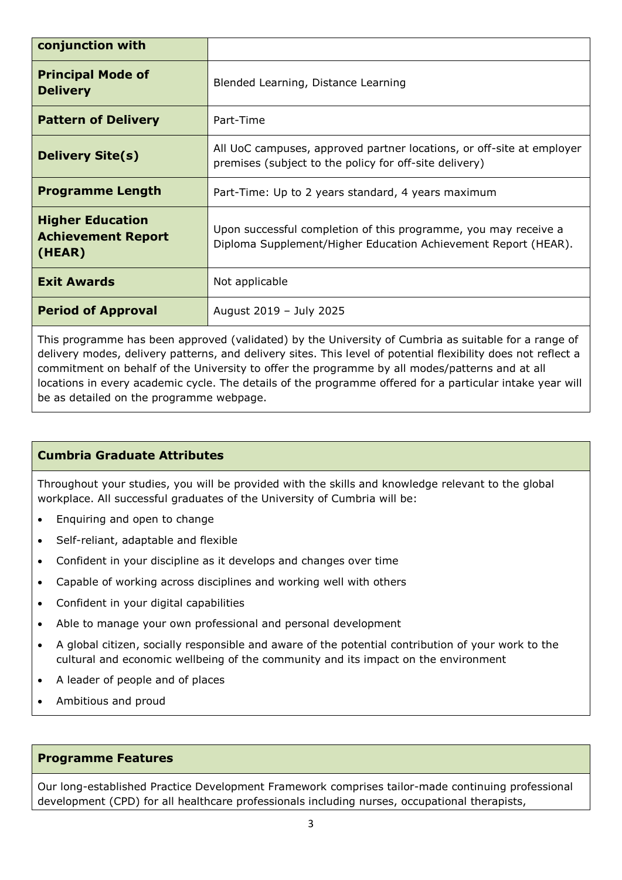| conjunction with                                               |                                                                                                                                   |  |
|----------------------------------------------------------------|-----------------------------------------------------------------------------------------------------------------------------------|--|
| <b>Principal Mode of</b><br><b>Delivery</b>                    | Blended Learning, Distance Learning                                                                                               |  |
| <b>Pattern of Delivery</b>                                     | Part-Time                                                                                                                         |  |
| <b>Delivery Site(s)</b>                                        | All UoC campuses, approved partner locations, or off-site at employer<br>premises (subject to the policy for off-site delivery)   |  |
| <b>Programme Length</b>                                        | Part-Time: Up to 2 years standard, 4 years maximum                                                                                |  |
| <b>Higher Education</b><br><b>Achievement Report</b><br>(HEAR) | Upon successful completion of this programme, you may receive a<br>Diploma Supplement/Higher Education Achievement Report (HEAR). |  |
| <b>Exit Awards</b>                                             | Not applicable                                                                                                                    |  |
| <b>Period of Approval</b>                                      | August 2019 - July 2025                                                                                                           |  |

This programme has been approved (validated) by the University of Cumbria as suitable for a range of delivery modes, delivery patterns, and delivery sites. This level of potential flexibility does not reflect a commitment on behalf of the University to offer the programme by all modes/patterns and at all locations in every academic cycle. The details of the programme offered for a particular intake year will be as detailed on the programme webpage.

## **Cumbria Graduate Attributes**

Throughout your studies, you will be provided with the skills and knowledge relevant to the global workplace. All successful graduates of the University of Cumbria will be:

- Enquiring and open to change
- Self-reliant, adaptable and flexible
- Confident in your discipline as it develops and changes over time
- Capable of working across disciplines and working well with others
- Confident in your digital capabilities
- Able to manage your own professional and personal development
- A global citizen, socially responsible and aware of the potential contribution of your work to the cultural and economic wellbeing of the community and its impact on the environment
- A leader of people and of places
- Ambitious and proud

#### **Programme Features**

Our long-established Practice Development Framework comprises tailor-made continuing professional development (CPD) for all healthcare professionals including nurses, occupational therapists,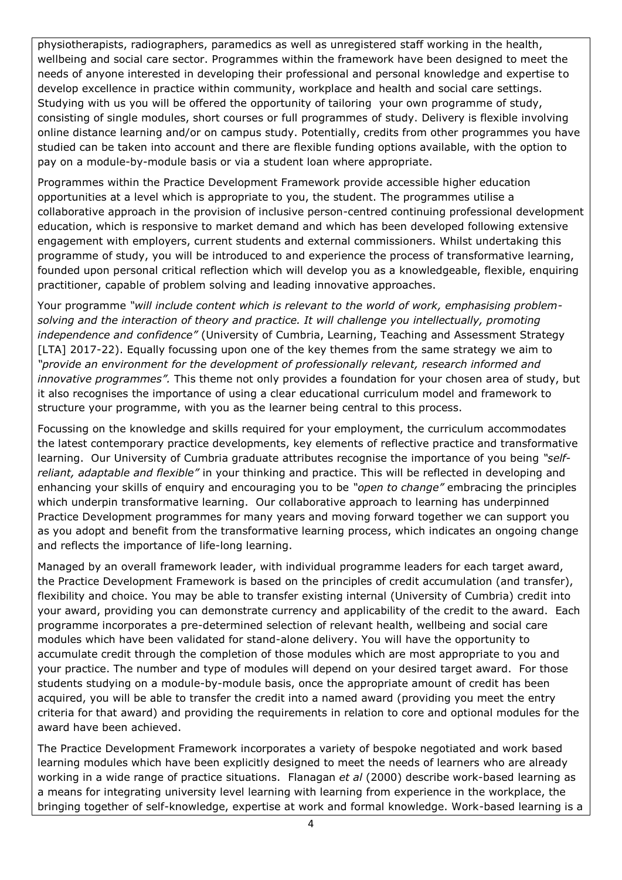physiotherapists, radiographers, paramedics as well as unregistered staff working in the health, wellbeing and social care sector. Programmes within the framework have been designed to meet the needs of anyone interested in developing their professional and personal knowledge and expertise to develop excellence in practice within community, workplace and health and social care settings. Studying with us you will be offered the opportunity of tailoring your own programme of study, consisting of single modules, short courses or full programmes of study. Delivery is flexible involving online distance learning and/or on campus study. Potentially, credits from other programmes you have studied can be taken into account and there are flexible funding options available, with the option to pay on a module-by-module basis or via a student loan where appropriate.

Programmes within the Practice Development Framework provide accessible higher education opportunities at a level which is appropriate to you, the student. The programmes utilise a collaborative approach in the provision of inclusive person-centred continuing professional development education, which is responsive to market demand and which has been developed following extensive engagement with employers, current students and external commissioners. Whilst undertaking this programme of study, you will be introduced to and experience the process of transformative learning, founded upon personal critical reflection which will develop you as a knowledgeable, flexible, enquiring practitioner, capable of problem solving and leading innovative approaches.

Your programme *"will include content which is relevant to the world of work, emphasising problemsolving and the interaction of theory and practice. It will challenge you intellectually, promoting independence and confidence"* (University of Cumbria, Learning, Teaching and Assessment Strategy [LTA] 2017-22). Equally focussing upon one of the key themes from the same strategy we aim to *"provide an environment for the development of professionally relevant, research informed and innovative programmes".* This theme not only provides a foundation for your chosen area of study, but it also recognises the importance of using a clear educational curriculum model and framework to structure your programme, with you as the learner being central to this process.

Focussing on the knowledge and skills required for your employment, the curriculum accommodates the latest contemporary practice developments, key elements of reflective practice and transformative learning. Our University of Cumbria graduate attributes recognise the importance of you being *"selfreliant, adaptable and flexible"* in your thinking and practice. This will be reflected in developing and enhancing your skills of enquiry and encouraging you to be *"open to change"* embracing the principles which underpin transformative learning. Our collaborative approach to learning has underpinned Practice Development programmes for many years and moving forward together we can support you as you adopt and benefit from the transformative learning process, which indicates an ongoing change and reflects the importance of life-long learning.

Managed by an overall framework leader, with individual programme leaders for each target award, the Practice Development Framework is based on the principles of credit accumulation (and transfer), flexibility and choice. You may be able to transfer existing internal (University of Cumbria) credit into your award, providing you can demonstrate currency and applicability of the credit to the award. Each programme incorporates a pre-determined selection of relevant health, wellbeing and social care modules which have been validated for stand-alone delivery. You will have the opportunity to accumulate credit through the completion of those modules which are most appropriate to you and your practice. The number and type of modules will depend on your desired target award. For those students studying on a module-by-module basis, once the appropriate amount of credit has been acquired, you will be able to transfer the credit into a named award (providing you meet the entry criteria for that award) and providing the requirements in relation to core and optional modules for the award have been achieved.

The Practice Development Framework incorporates a variety of bespoke negotiated and work based learning modules which have been explicitly designed to meet the needs of learners who are already working in a wide range of practice situations. Flanagan *et al* (2000) describe work-based learning as a means for integrating university level learning with learning from experience in the workplace, the bringing together of self-knowledge, expertise at work and formal knowledge. Work-based learning is a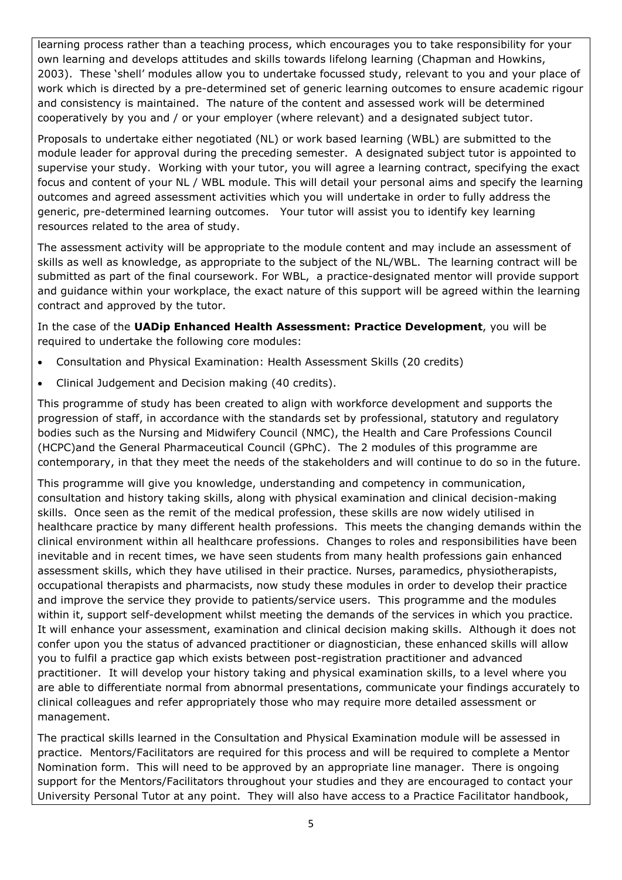learning process rather than a teaching process, which encourages you to take responsibility for your own learning and develops attitudes and skills towards lifelong learning (Chapman and Howkins, 2003). These 'shell' modules allow you to undertake focussed study, relevant to you and your place of work which is directed by a pre-determined set of generic learning outcomes to ensure academic rigour and consistency is maintained. The nature of the content and assessed work will be determined cooperatively by you and / or your employer (where relevant) and a designated subject tutor.

Proposals to undertake either negotiated (NL) or work based learning (WBL) are submitted to the module leader for approval during the preceding semester. A designated subject tutor is appointed to supervise your study. Working with your tutor, you will agree a learning contract, specifying the exact focus and content of your NL / WBL module. This will detail your personal aims and specify the learning outcomes and agreed assessment activities which you will undertake in order to fully address the generic, pre-determined learning outcomes. Your tutor will assist you to identify key learning resources related to the area of study.

The assessment activity will be appropriate to the module content and may include an assessment of skills as well as knowledge, as appropriate to the subject of the NL/WBL. The learning contract will be submitted as part of the final coursework. For WBL, a practice-designated mentor will provide support and guidance within your workplace, the exact nature of this support will be agreed within the learning contract and approved by the tutor.

In the case of the **UADip Enhanced Health Assessment: Practice Development**, you will be required to undertake the following core modules:

- Consultation and Physical Examination: Health Assessment Skills (20 credits)
- Clinical Judgement and Decision making (40 credits).

This programme of study has been created to align with workforce development and supports the progression of staff, in accordance with the standards set by professional, statutory and regulatory bodies such as the Nursing and Midwifery Council (NMC), the Health and Care Professions Council (HCPC)and the General Pharmaceutical Council (GPhC). The 2 modules of this programme are contemporary, in that they meet the needs of the stakeholders and will continue to do so in the future.

This programme will give you knowledge, understanding and competency in communication, consultation and history taking skills, along with physical examination and clinical decision-making skills. Once seen as the remit of the medical profession, these skills are now widely utilised in healthcare practice by many different health professions. This meets the changing demands within the clinical environment within all healthcare professions. Changes to roles and responsibilities have been inevitable and in recent times, we have seen students from many health professions gain enhanced assessment skills, which they have utilised in their practice. Nurses, paramedics, physiotherapists, occupational therapists and pharmacists, now study these modules in order to develop their practice and improve the service they provide to patients/service users. This programme and the modules within it, support self-development whilst meeting the demands of the services in which you practice. It will enhance your assessment, examination and clinical decision making skills. Although it does not confer upon you the status of advanced practitioner or diagnostician, these enhanced skills will allow you to fulfil a practice gap which exists between post-registration practitioner and advanced practitioner. It will develop your history taking and physical examination skills, to a level where you are able to differentiate normal from abnormal presentations, communicate your findings accurately to clinical colleagues and refer appropriately those who may require more detailed assessment or management.

The practical skills learned in the Consultation and Physical Examination module will be assessed in practice. Mentors/Facilitators are required for this process and will be required to complete a Mentor Nomination form. This will need to be approved by an appropriate line manager. There is ongoing support for the Mentors/Facilitators throughout your studies and they are encouraged to contact your University Personal Tutor at any point. They will also have access to a Practice Facilitator handbook,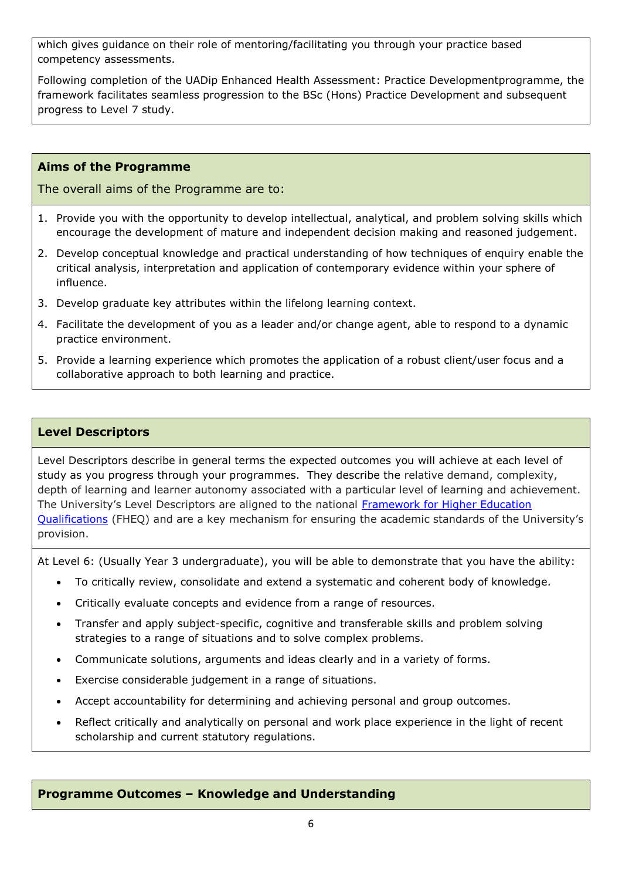which gives guidance on their role of mentoring/facilitating you through your practice based competency assessments.

Following completion of the UADip Enhanced Health Assessment: Practice Developmentprogramme, the framework facilitates seamless progression to the BSc (Hons) Practice Development and subsequent progress to Level 7 study.

## **Aims of the Programme**

The overall aims of the Programme are to:

- 1. Provide you with the opportunity to develop intellectual, analytical, and problem solving skills which encourage the development of mature and independent decision making and reasoned judgement.
- 2. Develop conceptual knowledge and practical understanding of how techniques of enquiry enable the critical analysis, interpretation and application of contemporary evidence within your sphere of influence.
- 3. Develop graduate key attributes within the lifelong learning context.
- 4. Facilitate the development of you as a leader and/or change agent, able to respond to a dynamic practice environment.
- 5. Provide a learning experience which promotes the application of a robust client/user focus and a collaborative approach to both learning and practice.

#### **Level Descriptors**

Level Descriptors describe in general terms the expected outcomes you will achieve at each level of study as you progress through your programmes. They describe the relative demand, complexity, depth of learning and learner autonomy associated with a particular level of learning and achievement. The University's Level Descriptors are aligned to the national [Framework for Higher Education](http://www.qaa.ac.uk/en/Publications/Documents/qualifications-frameworks.pdf)  [Qualifications](http://www.qaa.ac.uk/en/Publications/Documents/qualifications-frameworks.pdf) (FHEQ) and are a key mechanism for ensuring the academic standards of the University's provision.

At Level 6: (Usually Year 3 undergraduate), you will be able to demonstrate that you have the ability:

- To critically review, consolidate and extend a systematic and coherent body of knowledge.
- Critically evaluate concepts and evidence from a range of resources.
- Transfer and apply subject-specific, cognitive and transferable skills and problem solving strategies to a range of situations and to solve complex problems.
- Communicate solutions, arguments and ideas clearly and in a variety of forms.
- Exercise considerable judgement in a range of situations.
- Accept accountability for determining and achieving personal and group outcomes.
- Reflect critically and analytically on personal and work place experience in the light of recent scholarship and current statutory regulations.

#### **Programme Outcomes – Knowledge and Understanding**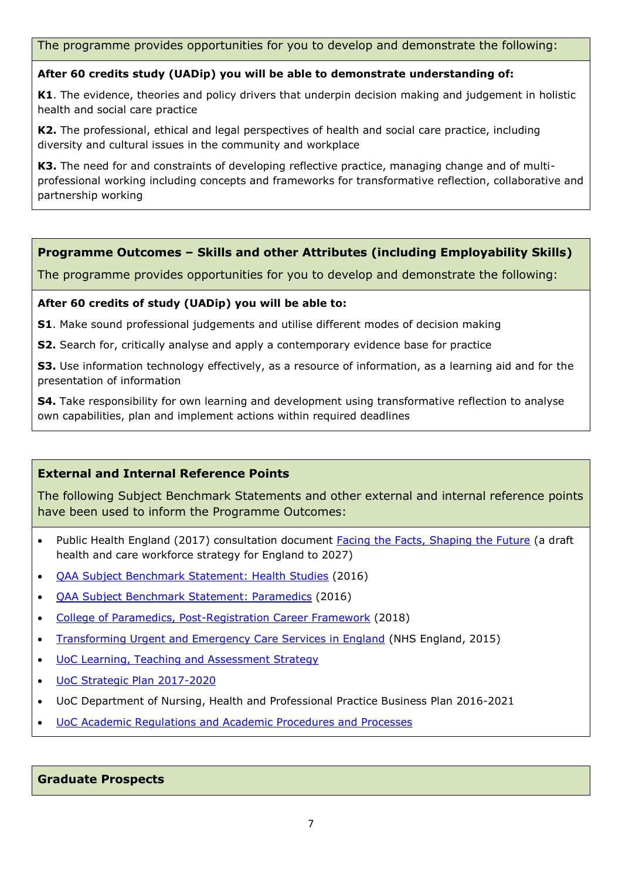The programme provides opportunities for you to develop and demonstrate the following:

#### **After 60 credits study (UADip) you will be able to demonstrate understanding of:**

**K1**. The evidence, theories and policy drivers that underpin decision making and judgement in holistic health and social care practice

**K2.** The professional, ethical and legal perspectives of health and social care practice, including diversity and cultural issues in the community and workplace

**K3.** The need for and constraints of developing reflective practice, managing change and of multiprofessional working including concepts and frameworks for transformative reflection, collaborative and partnership working

## **Programme Outcomes – Skills and other Attributes (including Employability Skills)**

The programme provides opportunities for you to develop and demonstrate the following:

#### **After 60 credits of study (UADip) you will be able to:**

**S1**. Make sound professional judgements and utilise different modes of decision making

**S2.** Search for, critically analyse and apply a contemporary evidence base for practice

**S3.** Use information technology effectively, as a resource of information, as a learning aid and for the presentation of information

**S4.** Take responsibility for own learning and development using transformative reflection to analyse own capabilities, plan and implement actions within required deadlines

## **External and Internal Reference Points**

The following Subject Benchmark Statements and other external and internal reference points have been used to inform the Programme Outcomes:

- Public Health England (2017) consultation document [Facing the Facts, Shaping the Future](https://www.hee.nhs.uk/our-work/workforce-strategy) (a draft health and care workforce strategy for England to 2027)
- **[QAA Subject Benchmark Statement: Health Studies](https://www.qaa.ac.uk/docs/qaa/subject-benchmark-statements/sbs-health-studies-16.pdf?sfvrsn=779ff781_8)** (2016)
- [QAA Subject Benchmark Statement: Paramedics](https://www.qaa.ac.uk/docs/qaa/subject-benchmark-statements/sbs-paramedics-16.pdf?sfvrsn=9594f781_12) (2016)
- [College of Paramedics, Post-Registration Career Framework](https://www.collegeofparamedics.co.uk/publications/post-reg-career-framework) (2018)
- [Transforming Urgent and Emergency Care Services in England](https://www.england.nhs.uk/wp-content/uploads/2015/06/trans-uec.pdf) (NHS England, 2015)
- [UoC Learning, Teaching and Assessment Strategy](https://www.cumbria.ac.uk/media/university-of-cumbria-website/content-assets/public/aqs/documents/LearningTeachingAssessmentStrategy.pdf)
- [UoC Strategic Plan 2017-2020](https://www.cumbria.ac.uk/about/publications/strategic-plan/)
- UoC Department of Nursing, Health and Professional Practice Business Plan 2016-2021
- [UoC Academic Regulations and Academic Procedures and Processes](https://www.cumbria.ac.uk/about/organisation/professional-services/academic-quality-and-development/academic-regulations/)

#### **Graduate Prospects**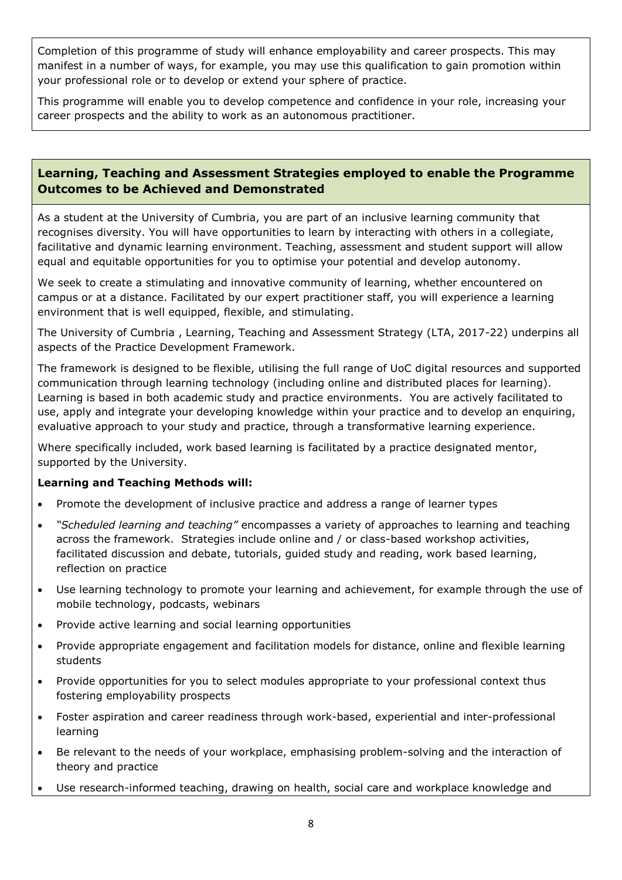Completion of this programme of study will enhance employability and career prospects. This may manifest in a number of ways, for example, you may use this qualification to gain promotion within your professional role or to develop or extend your sphere of practice.

This programme will enable you to develop competence and confidence in your role, increasing your career prospects and the ability to work as an autonomous practitioner.

## **Learning, Teaching and Assessment Strategies employed to enable the Programme Outcomes to be Achieved and Demonstrated**

As a student at the University of Cumbria, you are part of an inclusive learning community that recognises diversity. You will have opportunities to learn by interacting with others in a collegiate, facilitative and dynamic learning environment. Teaching, assessment and student support will allow equal and equitable opportunities for you to optimise your potential and develop autonomy.

We seek to create a stimulating and innovative community of learning, whether encountered on campus or at a distance. Facilitated by our expert practitioner staff, you will experience a learning environment that is well equipped, flexible, and stimulating.

The University of Cumbria , Learning, Teaching and Assessment Strategy (LTA, 2017-22) underpins all aspects of the Practice Development Framework.

The framework is designed to be flexible, utilising the full range of UoC digital resources and supported communication through learning technology (including online and distributed places for learning). Learning is based in both academic study and practice environments. You are actively facilitated to use, apply and integrate your developing knowledge within your practice and to develop an enquiring, evaluative approach to your study and practice, through a transformative learning experience.

Where specifically included, work based learning is facilitated by a practice designated mentor, supported by the University.

## **Learning and Teaching Methods will:**

- Promote the development of inclusive practice and address a range of learner types
- *"Scheduled learning and teaching"* encompasses a variety of approaches to learning and teaching across the framework. Strategies include online and / or class-based workshop activities, facilitated discussion and debate, tutorials, guided study and reading, work based learning, reflection on practice
- Use learning technology to promote your learning and achievement, for example through the use of mobile technology, podcasts, webinars
- Provide active learning and social learning opportunities
- Provide appropriate engagement and facilitation models for distance, online and flexible learning students
- Provide opportunities for you to select modules appropriate to your professional context thus fostering employability prospects
- Foster aspiration and career readiness through work-based, experiential and inter-professional learning
- Be relevant to the needs of your workplace, emphasising problem-solving and the interaction of theory and practice
- Use research-informed teaching, drawing on health, social care and workplace knowledge and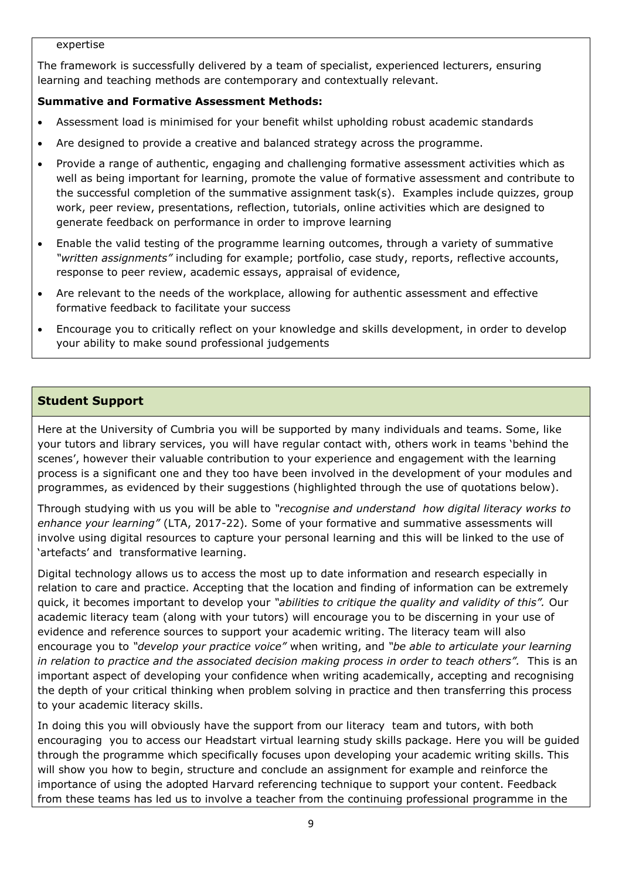#### expertise

The framework is successfully delivered by a team of specialist, experienced lecturers, ensuring learning and teaching methods are contemporary and contextually relevant.

#### **Summative and Formative Assessment Methods:**

- Assessment load is minimised for your benefit whilst upholding robust academic standards
- Are designed to provide a creative and balanced strategy across the programme.
- Provide a range of authentic, engaging and challenging formative assessment activities which as well as being important for learning, promote the value of formative assessment and contribute to the successful completion of the summative assignment task(s). Examples include quizzes, group work, peer review, presentations, reflection, tutorials, online activities which are designed to generate feedback on performance in order to improve learning
- Enable the valid testing of the programme learning outcomes, through a variety of summative *"written assignments"* including for example; portfolio, case study, reports, reflective accounts, response to peer review, academic essays, appraisal of evidence,
- Are relevant to the needs of the workplace, allowing for authentic assessment and effective formative feedback to facilitate your success
- Encourage you to critically reflect on your knowledge and skills development, in order to develop your ability to make sound professional judgements

## **Student Support**

Here at the University of Cumbria you will be supported by many individuals and teams. Some, like your tutors and library services, you will have regular contact with, others work in teams 'behind the scenes', however their valuable contribution to your experience and engagement with the learning process is a significant one and they too have been involved in the development of your modules and programmes, as evidenced by their suggestions (highlighted through the use of quotations below).

Through studying with us you will be able to *"recognise and understand how digital literacy works to enhance your learning"* (LTA, 2017-22)*.* Some of your formative and summative assessments will involve using digital resources to capture your personal learning and this will be linked to the use of 'artefacts' and transformative learning.

Digital technology allows us to access the most up to date information and research especially in relation to care and practice. Accepting that the location and finding of information can be extremely quick, it becomes important to develop your *"abilities to critique the quality and validity of this".* Our academic literacy team (along with your tutors) will encourage you to be discerning in your use of evidence and reference sources to support your academic writing. The literacy team will also encourage you to *"develop your practice voice"* when writing, and *"be able to articulate your learning in relation to practice and the associated decision making process in order to teach others".* This is an important aspect of developing your confidence when writing academically, accepting and recognising the depth of your critical thinking when problem solving in practice and then transferring this process to your academic literacy skills.

In doing this you will obviously have the support from our literacy team and tutors, with both encouraging you to access our Headstart virtual learning study skills package. Here you will be guided through the programme which specifically focuses upon developing your academic writing skills. This will show you how to begin, structure and conclude an assignment for example and reinforce the importance of using the adopted Harvard referencing technique to support your content. Feedback from these teams has led us to involve a teacher from the continuing professional programme in the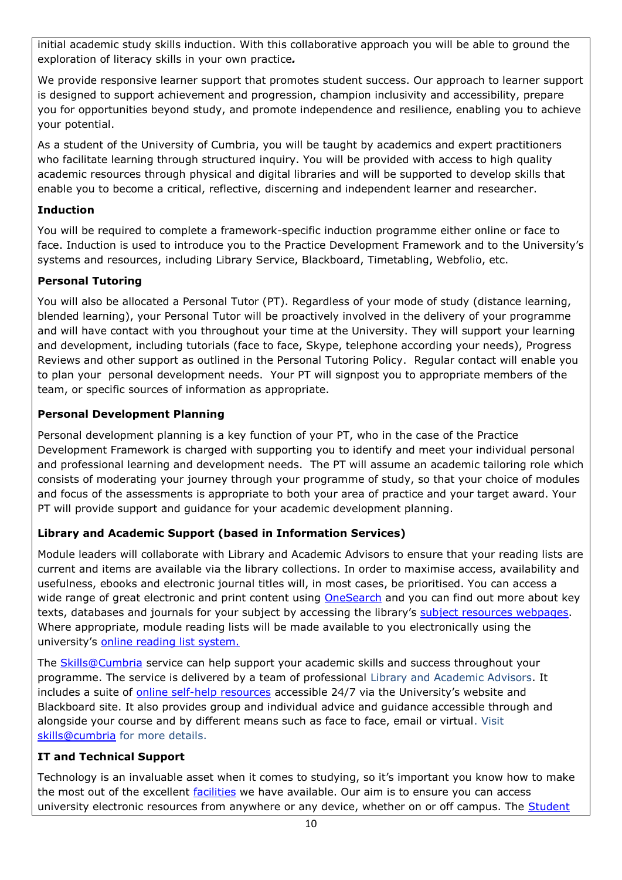initial academic study skills induction. With this collaborative approach you will be able to ground the exploration of literacy skills in your own practice*.*

We provide responsive learner support that promotes student success. Our approach to learner support is designed to support achievement and progression, champion inclusivity and accessibility, prepare you for opportunities beyond study, and promote independence and resilience, enabling you to achieve your potential.

As a student of the University of Cumbria, you will be taught by academics and expert practitioners who facilitate learning through structured inquiry. You will be provided with access to high quality academic resources through physical and digital libraries and will be supported to develop skills that enable you to become a critical, reflective, discerning and independent learner and researcher.

## **Induction**

You will be required to complete a framework-specific induction programme either online or face to face. Induction is used to introduce you to the Practice Development Framework and to the University's systems and resources, including Library Service, Blackboard, Timetabling, Webfolio, etc.

## **Personal Tutoring**

You will also be allocated a Personal Tutor (PT). Regardless of your mode of study (distance learning, blended learning), your Personal Tutor will be proactively involved in the delivery of your programme and will have contact with you throughout your time at the University. They will support your learning and development, including tutorials (face to face, Skype, telephone according your needs), Progress Reviews and other support as outlined in the Personal Tutoring Policy. Regular contact will enable you to plan your personal development needs. Your PT will signpost you to appropriate members of the team, or specific sources of information as appropriate.

## **Personal Development Planning**

Personal development planning is a key function of your PT, who in the case of the Practice Development Framework is charged with supporting you to identify and meet your individual personal and professional learning and development needs. The PT will assume an academic tailoring role which consists of moderating your journey through your programme of study, so that your choice of modules and focus of the assessments is appropriate to both your area of practice and your target award. Your PT will provide support and guidance for your academic development planning.

# **Library and Academic Support (based in Information Services)**

Module leaders will collaborate with Library and Academic Advisors to ensure that your reading lists are current and items are available via the library collections. In order to maximise access, availability and usefulness, ebooks and electronic journal titles will, in most cases, be prioritised. You can access a wide range of great electronic and print content using **OneSearch** and you can find out more about key texts, databases and journals for your subject by accessing the library's [subject resources webpages.](http://my.cumbria.ac.uk/StudentLife/Learning/Resources/Subjects/Home.aspx) Where appropriate, module reading lists will be made available to you electronically using the university's [online reading list system.](https://eu.alma.exlibrisgroup.com/leganto/readinglist/lists)

The [Skills@Cumbria](https://my.cumbria.ac.uk/Student-Life/Learning/Skills-Cumbria/) service can help support your academic skills and success throughout your programme. The service is delivered by a team of professional Library and Academic Advisors. It includes a suite of [online self-help resources](https://my.cumbria.ac.uk/Student-Life/Learning/Skills-Cumbria/) accessible 24/7 via the University's website and Blackboard site. It also provides group and individual advice and guidance accessible through and alongside your course and by different means such as face to face, email or virtual. Visit [skills@cumbria](https://my.cumbria.ac.uk/Student-Life/Learning/Skills-Cumbria/) for more details.

# **IT and Technical Support**

Technology is an invaluable asset when it comes to studying, so it's important you know how to make the most out of the excellent *facilities* we have available. Our aim is to ensure you can access university electronic resources from anywhere or any device, whether on or off campus. The Student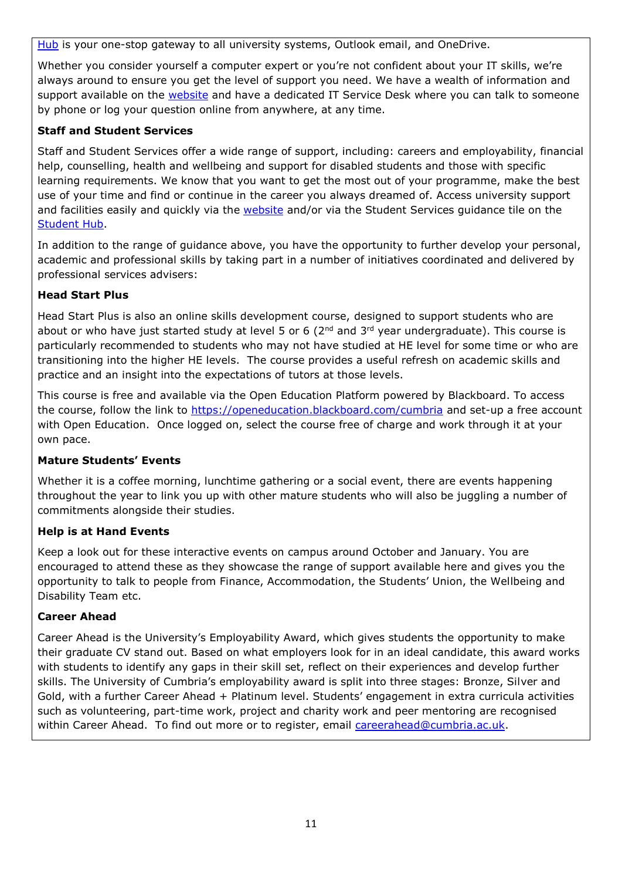[Hub](https://universityofcumbria.mydaycloud.com/dashboard/allsorts) is your one-stop gateway to all university systems, Outlook email, and OneDrive.

Whether you consider yourself a computer expert or you're not confident about your IT skills, we're always around to ensure you get the level of support you need. We have a wealth of information and support available on the [website](https://my.cumbria.ac.uk/Student-Life/it-media/) and have a dedicated IT Service Desk where you can talk to someone by phone or log your question online from anywhere, at any time.

## **Staff and Student Services**

Staff and Student Services offer a wide range of support, including: careers and employability, financial help, counselling, health and wellbeing and support for disabled students and those with specific learning requirements. We know that you want to get the most out of your programme, make the best use of your time and find or continue in the career you always dreamed of. Access university support and facilities easily and quickly via the [website](https://my.cumbria.ac.uk/) and/or via the Student Services guidance tile on the [Student Hub.](https://universityofcumbria.mydaycloud.com/dashboard/allsorts)

In addition to the range of guidance above, you have the opportunity to further develop your personal, academic and professional skills by taking part in a number of initiatives coordinated and delivered by professional services advisers:

## **Head Start Plus**

Head Start Plus is also an online skills development course, designed to support students who are about or who have just started study at level 5 or 6 ( $2<sup>nd</sup>$  and  $3<sup>rd</sup>$  year undergraduate). This course is particularly recommended to students who may not have studied at HE level for some time or who are transitioning into the higher HE levels. The course provides a useful refresh on academic skills and practice and an insight into the expectations of tutors at those levels.

This course is free and available via the Open Education Platform powered by Blackboard. To access the course, follow the link to<https://openeducation.blackboard.com/cumbria> and set-up a free account with Open Education. Once logged on, select the course free of charge and work through it at your own pace.

## **Mature Students' Events**

Whether it is a coffee morning, lunchtime gathering or a social event, there are events happening throughout the year to link you up with other mature students who will also be juggling a number of commitments alongside their studies.

## **Help is at Hand Events**

Keep a look out for these interactive events on campus around October and January. You are encouraged to attend these as they showcase the range of support available here and gives you the opportunity to talk to people from Finance, Accommodation, the Students' Union, the Wellbeing and Disability Team etc.

## **Career Ahead**

Career Ahead is the University's Employability Award, which gives students the opportunity to make their graduate CV stand out. Based on what employers look for in an ideal candidate, this award works with students to identify any gaps in their skill set, reflect on their experiences and develop further skills. The University of Cumbria's employability award is split into three stages: Bronze, Silver and Gold, with a further Career Ahead + Platinum level. Students' engagement in extra curricula activities such as volunteering, part-time work, project and charity work and peer mentoring are recognised within Career Ahead. To find out more or to register, email [careerahead@cumbria.ac.uk.](mailto:careerahead@cumbria.ac.uk)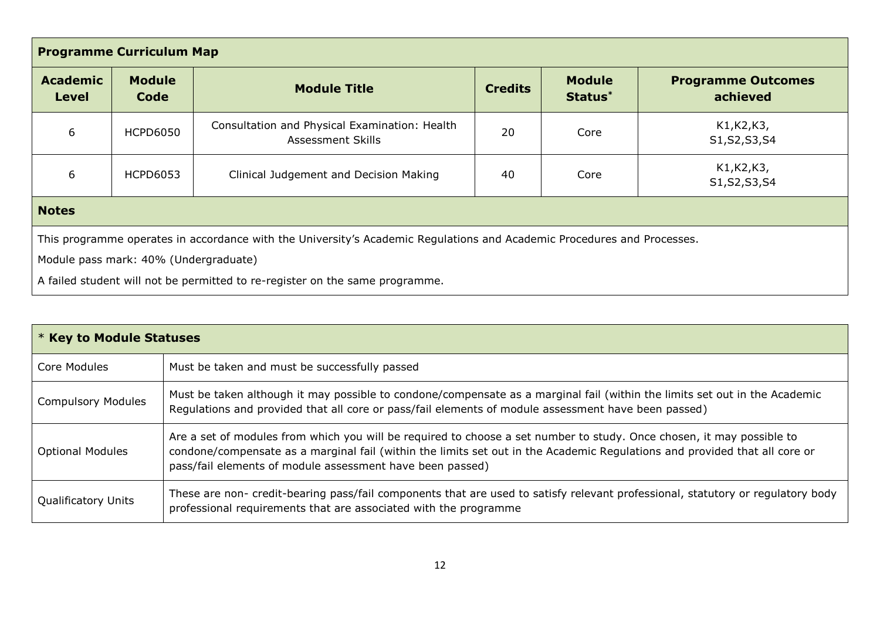| <b>Programme Curriculum Map</b>                                                                                         |                       |                                                                    |                               |                          |                                       |
|-------------------------------------------------------------------------------------------------------------------------|-----------------------|--------------------------------------------------------------------|-------------------------------|--------------------------|---------------------------------------|
| <b>Academic</b><br><b>Level</b>                                                                                         | <b>Module</b><br>Code | <b>Module Title</b>                                                | <b>Credits</b>                | <b>Module</b><br>Status* | <b>Programme Outcomes</b><br>achieved |
| 6                                                                                                                       | <b>HCPD6050</b>       | Consultation and Physical Examination: Health<br>Assessment Skills | 20                            | Core                     | K1, K2, K3,<br>S1, S2, S3, S4         |
| 6<br>40<br><b>HCPD6053</b><br>Clinical Judgement and Decision Making<br>Core                                            |                       |                                                                    | K1, K2, K3,<br>S1, S2, S3, S4 |                          |                                       |
| <b>Notes</b>                                                                                                            |                       |                                                                    |                               |                          |                                       |
| This programme operates in accordance with the University's Academic Regulations and Academic Procedures and Processes. |                       |                                                                    |                               |                          |                                       |
| Module pass mark: 40% (Undergraduate)                                                                                   |                       |                                                                    |                               |                          |                                       |
| A failed student will not be permitted to re-register on the same programme.                                            |                       |                                                                    |                               |                          |                                       |

| * Key to Module Statuses   |                                                                                                                                                                                                                                                                                                                  |  |
|----------------------------|------------------------------------------------------------------------------------------------------------------------------------------------------------------------------------------------------------------------------------------------------------------------------------------------------------------|--|
| Core Modules               | Must be taken and must be successfully passed                                                                                                                                                                                                                                                                    |  |
| <b>Compulsory Modules</b>  | Must be taken although it may possible to condone/compensate as a marginal fail (within the limits set out in the Academic<br>Regulations and provided that all core or pass/fail elements of module assessment have been passed)                                                                                |  |
| <b>Optional Modules</b>    | Are a set of modules from which you will be required to choose a set number to study. Once chosen, it may possible to<br>condone/compensate as a marginal fail (within the limits set out in the Academic Regulations and provided that all core or<br>pass/fail elements of module assessment have been passed) |  |
| <b>Qualificatory Units</b> | These are non- credit-bearing pass/fail components that are used to satisfy relevant professional, statutory or regulatory body<br>professional requirements that are associated with the programme                                                                                                              |  |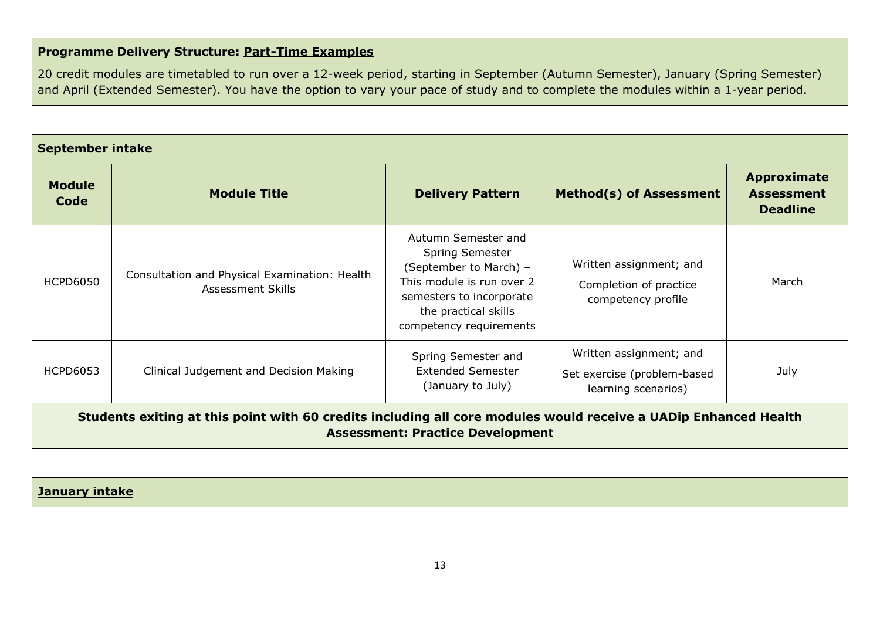# **Programme Delivery Structure: Part-Time Examples**

20 credit modules are timetabled to run over a 12-week period, starting in September (Autumn Semester), January (Spring Semester) and April (Extended Semester). You have the option to vary your pace of study and to complete the modules within a 1-year period.

| <b>September intake</b>                                                                                                                                    |                                                                    |                                                                                                                                                                                     |                                                                               |                                                            |
|------------------------------------------------------------------------------------------------------------------------------------------------------------|--------------------------------------------------------------------|-------------------------------------------------------------------------------------------------------------------------------------------------------------------------------------|-------------------------------------------------------------------------------|------------------------------------------------------------|
| <b>Module</b><br>Code                                                                                                                                      | <b>Module Title</b>                                                | <b>Delivery Pattern</b>                                                                                                                                                             | <b>Method(s) of Assessment</b>                                                | <b>Approximate</b><br><b>Assessment</b><br><b>Deadline</b> |
| <b>HCPD6050</b>                                                                                                                                            | Consultation and Physical Examination: Health<br>Assessment Skills | Autumn Semester and<br><b>Spring Semester</b><br>(September to March) -<br>This module is run over 2<br>semesters to incorporate<br>the practical skills<br>competency requirements | Written assignment; and<br>Completion of practice<br>competency profile       | March                                                      |
| <b>HCPD6053</b>                                                                                                                                            | Clinical Judgement and Decision Making                             | Spring Semester and<br><b>Extended Semester</b><br>(January to July)                                                                                                                | Written assignment; and<br>Set exercise (problem-based<br>learning scenarios) | July                                                       |
| Students exiting at this point with 60 credits including all core modules would receive a UADip Enhanced Health<br><b>Assessment: Practice Development</b> |                                                                    |                                                                                                                                                                                     |                                                                               |                                                            |

|  |  | <b>January intake</b> |
|--|--|-----------------------|
|--|--|-----------------------|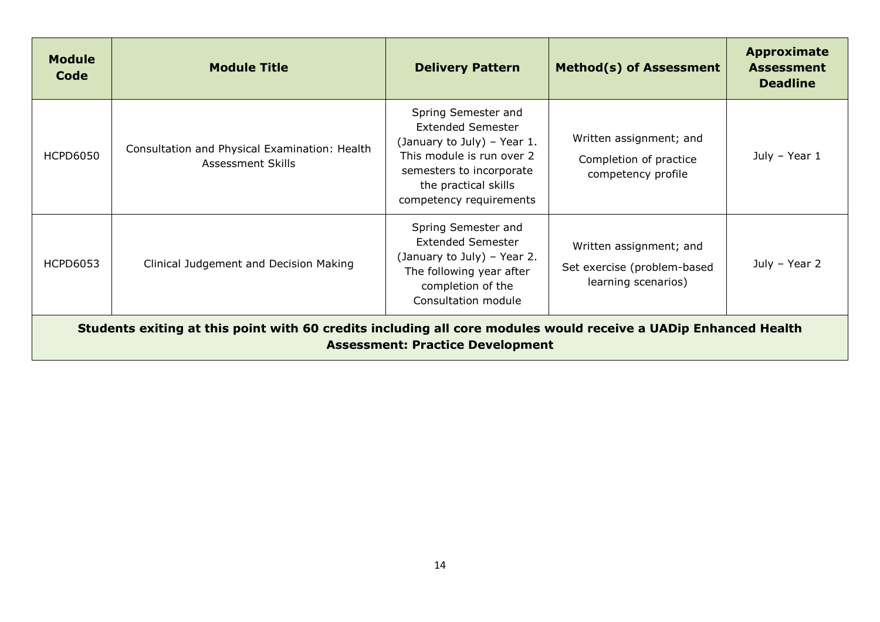| <b>Module</b><br>Code                                                                                                                                      | <b>Module Title</b>                                                | <b>Delivery Pattern</b>                                                                                                                                                                    | <b>Method(s) of Assessment</b>                                                | Approximate<br><b>Assessment</b><br><b>Deadline</b> |
|------------------------------------------------------------------------------------------------------------------------------------------------------------|--------------------------------------------------------------------|--------------------------------------------------------------------------------------------------------------------------------------------------------------------------------------------|-------------------------------------------------------------------------------|-----------------------------------------------------|
| <b>HCPD6050</b>                                                                                                                                            | Consultation and Physical Examination: Health<br>Assessment Skills | Spring Semester and<br><b>Extended Semester</b><br>(January to July) - Year 1.<br>This module is run over 2<br>semesters to incorporate<br>the practical skills<br>competency requirements | Written assignment; and<br>Completion of practice<br>competency profile       | July - Year 1                                       |
| <b>HCPD6053</b>                                                                                                                                            | Clinical Judgement and Decision Making                             | Spring Semester and<br><b>Extended Semester</b><br>(January to July) - Year 2.<br>The following year after<br>completion of the<br>Consultation module                                     | Written assignment; and<br>Set exercise (problem-based<br>learning scenarios) | July - Year 2                                       |
| Students exiting at this point with 60 credits including all core modules would receive a UADip Enhanced Health<br><b>Assessment: Practice Development</b> |                                                                    |                                                                                                                                                                                            |                                                                               |                                                     |